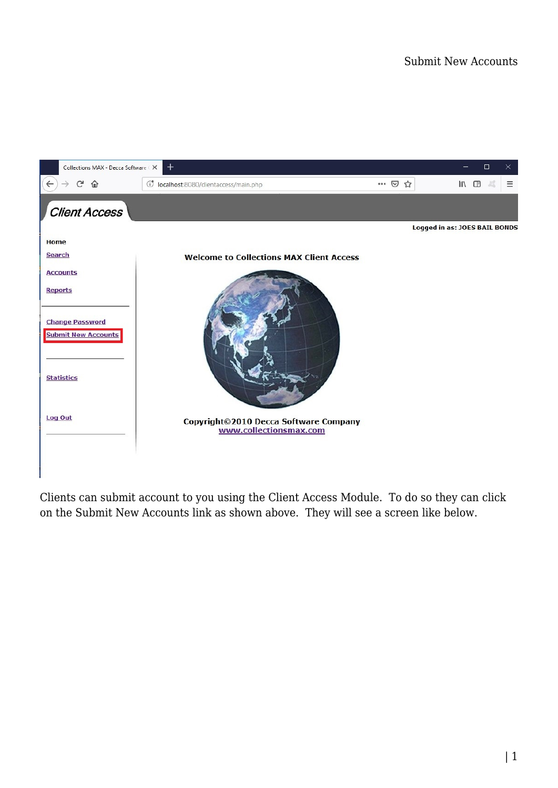

Clients can submit account to you using the Client Access Module. To do so they can click on the Submit New Accounts link as shown above. They will see a screen like below.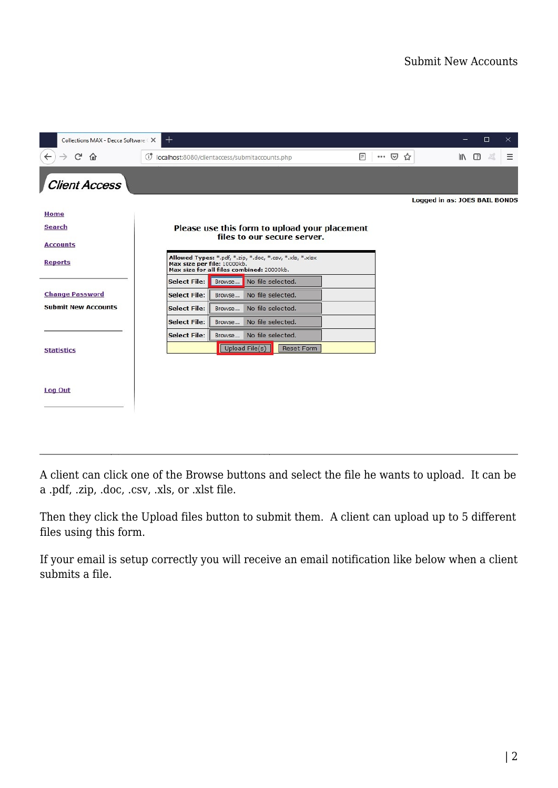| $\,{}^+$<br>Collections MAX - Decca Software X |                                                                                                                                      |                                               |                   |  |                            |                               | $\Box$ | ×. |
|------------------------------------------------|--------------------------------------------------------------------------------------------------------------------------------------|-----------------------------------------------|-------------------|--|----------------------------|-------------------------------|--------|----|
| G<br>$\leftarrow$<br>⋒                         | (i) localhost:8080/clientaccess/submitaccounts.php<br>圓                                                                              |                                               |                   |  | $\cdots$ $\heartsuit$<br>☆ | <b>III</b>                    | ◫      | Ξ  |
| <b>Client Access</b>                           |                                                                                                                                      |                                               |                   |  |                            |                               |        |    |
| <b>Home</b>                                    |                                                                                                                                      |                                               |                   |  |                            | Logged in as: JOES BAIL BONDS |        |    |
| <b>Search</b>                                  |                                                                                                                                      | Please use this form to upload your placement |                   |  |                            |                               |        |    |
| <b>Accounts</b>                                |                                                                                                                                      | files to our secure server.                   |                   |  |                            |                               |        |    |
| <b>Reports</b>                                 | Allowed Types: *.pdf, *.zip, *.doc, *.csv, *.xls, *.xlsx<br>Max size per file: 10000kb.<br>Max size for all files combined: 20000kb. |                                               |                   |  |                            |                               |        |    |
|                                                | <b>Select File:</b>                                                                                                                  | Browse                                        | No file selected. |  |                            |                               |        |    |
| <b>Change Password</b>                         | <b>Select File:</b>                                                                                                                  | Browse                                        | No file selected. |  |                            |                               |        |    |
| <b>Submit New Accounts</b>                     | <b>Select File:</b>                                                                                                                  | Browse                                        | No file selected. |  |                            |                               |        |    |
|                                                | <b>Select File:</b>                                                                                                                  | Browse                                        | No file selected. |  |                            |                               |        |    |
|                                                | <b>Select File:</b>                                                                                                                  | Browse                                        | No file selected. |  |                            |                               |        |    |
| <b>Statistics</b>                              |                                                                                                                                      | Upload File(s)                                | <b>Reset Form</b> |  |                            |                               |        |    |
|                                                |                                                                                                                                      |                                               |                   |  |                            |                               |        |    |
| <b>Log Out</b>                                 |                                                                                                                                      |                                               |                   |  |                            |                               |        |    |
|                                                |                                                                                                                                      |                                               |                   |  |                            |                               |        |    |

A client can click one of the Browse buttons and select the file he wants to upload. It can be a .pdf, .zip, .doc, .csv, .xls, or .xlst file.

Then they click the Upload files button to submit them. A client can upload up to 5 different files using this form.

If your email is setup correctly you will receive an email notification like below when a client submits a file.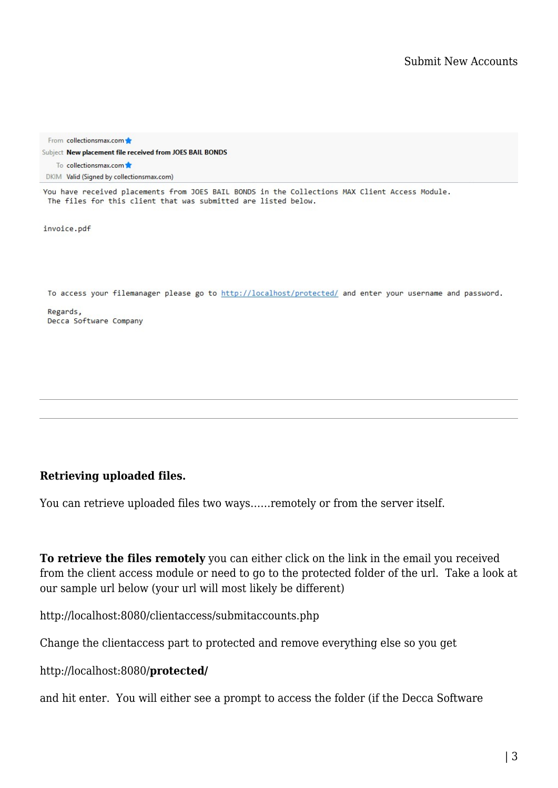From collectionsmax.com Subject New placement file received from JOES BAIL BONDS To collectionsmax.com DKIM Valid (Signed by collectionsmax.com)

You have received placements from JOES BAIL BONDS in the Collections MAX Client Access Module. The files for this client that was submitted are listed below.

invoice.pdf

To access your filemanager please go to http://localhost/protected/ and enter your username and password.

Regards, Decca Software Company

## **Retrieving uploaded files.**

You can retrieve uploaded files two ways……remotely or from the server itself.

**To retrieve the files remotely** you can either click on the link in the email you received from the client access module or need to go to the protected folder of the url. Take a look at our sample url below (your url will most likely be different)

http://localhost:8080/clientaccess/submitaccounts.php

Change the clientaccess part to protected and remove everything else so you get

http://localhost:8080/**protected/**

and hit enter. You will either see a prompt to access the folder (if the Decca Software